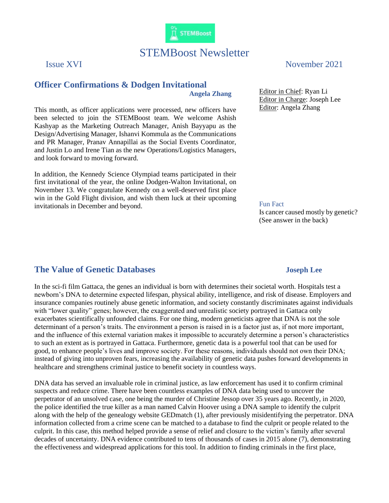

# STEMBoost Newsletter

# **Officer Confirmations & Dodgen Invitational Angela Zhang**

This month, as officer applications were processed, new officers have been selected to join the STEMBoost team. We welcome Ashish Kashyap as the Marketing Outreach Manager, Anish Bayyapu as the Design/Advertising Manager, Ishanvi Kommula as the Communications and PR Manager, Pranav Annapillai as the Social Events Coordinator, and Justin Lo and Irene Tian as the new Operations/Logistics Managers, and look forward to moving forward.

In addition, the Kennedy Science Olympiad teams participated in their first invitational of the year, the online Dodgen-Walton Invitational, on November 13. We congratulate Kennedy on a well-deserved first place win in the Gold Flight division, and wish them luck at their upcoming invitationals in December and beyond.

# Issue XVI November 2021

Editor in Chief: Ryan Li Editor in Charge: Joseph Lee Editor: Angela Zhang

#### Fun Fact

Is cancer caused mostly by genetic? (See answer in the back)

## **The Value of Genetic Databases Joseph Lee**

In the sci-fi film Gattaca, the genes an individual is born with determines their societal worth. Hospitals test a newborn's DNA to determine expected lifespan, physical ability, intelligence, and risk of disease. Employers and insurance companies routinely abuse genetic information, and society constantly discriminates against individuals with "lower quality" genes; however, the exaggerated and unrealistic society portrayed in Gattaca only exacerbates scientifically unfounded claims. For one thing, modern geneticists agree that DNA is not the sole determinant of a person's traits. The environment a person is raised in is a factor just as, if not more important, and the influence of this external variation makes it impossible to accurately determine a person's characteristics to such an extent as is portrayed in Gattaca. Furthermore, genetic data is a powerful tool that can be used for good, to enhance people's lives and improve society. For these reasons, individuals should not own their DNA; instead of giving into unproven fears, increasing the availability of genetic data pushes forward developments in healthcare and strengthens criminal justice to benefit society in countless ways.

DNA data has served an invaluable role in criminal justice, as law enforcement has used it to confirm criminal suspects and reduce crime. There have been countless examples of DNA data being used to uncover the perpetrator of an unsolved case, one being the murder of Christine Jessop over 35 years ago. Recently, in 2020, the police identified the true killer as a man named Calvin Hoover using a DNA sample to identify the culprit along with the help of the genealogy website GEDmatch (1), after previously misidentifying the perpetrator. DNA information collected from a crime scene can be matched to a database to find the culprit or people related to the culprit. In this case, this method helped provide a sense of relief and closure to the victim's family after several decades of uncertainty. DNA evidence contributed to tens of thousands of cases in 2015 alone (7), demonstrating the effectiveness and widespread applications for this tool. In addition to finding criminals in the first place,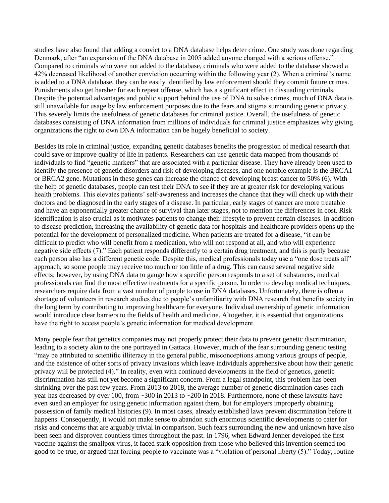studies have also found that adding a convict to a DNA database helps deter crime. One study was done regarding Denmark, after "an expansion of the DNA database in 2005 added anyone charged with a serious offense." Compared to criminals who were not added to the database, criminals who were added to the database showed a 42% decreased likelihood of another conviction occurring within the following year (2). When a criminal's name is added to a DNA database, they can be easily identified by law enforcement should they commit future crimes. Punishments also get harsher for each repeat offense, which has a significant effect in dissuading criminals. Despite the potential advantages and public support behind the use of DNA to solve crimes, much of DNA data is still unavailable for usage by law enforcement purposes due to the fears and stigma surrounding genetic privacy. This severely limits the usefulness of genetic databases for criminal justice. Overall, the usefulness of genetic databases consisting of DNA information from millions of individuals for criminal justice emphasizes why giving organizations the right to own DNA information can be hugely beneficial to society.

Besides its role in criminal justice, expanding genetic databases benefits the progression of medical research that could save or improve quality of life in patients. Researchers can use genetic data mapped from thousands of individuals to find "genetic markers" that are associated with a particular disease. They have already been used to identify the presence of genetic disorders and risk of developing diseases, and one notable example is the BRCA1 or BRCA2 gene. Mutations in these genes can increase the chance of developing breast cancer to 50% (6). With the help of genetic databases, people can test their DNA to see if they are at greater risk for developing various health problems. This elevates patients' self-awareness and increases the chance that they will check up with their doctors and be diagnosed in the early stages of a disease. In particular, early stages of cancer are more treatable and have an exponentially greater chance of survival than later stages, not to mention the differences in cost. Risk identification is also crucial as it motivates patients to change their lifestyle to prevent certain diseases. In addition to disease prediction, increasing the availability of genetic data for hospitals and healthcare providers opens up the potential for the development of personalized medicine. When patients are treated for a disease, "it can be difficult to predict who will benefit from a medication, who will not respond at all, and who will experience negative side effects (7)." Each patient responds differently to a certain drug treatment, and this is partly because each person also has a different genetic code. Despite this, medical professionals today use a "one dose treats all" approach, so some people may receive too much or too little of a drug. This can cause several negative side effects; however, by using DNA data to gauge how a specific person responds to a set of substances, medical professionals can find the most effective treatments for a specific person. In order to develop medical techniques, researchers require data from a vast number of people to use in DNA databases. Unfortunately, there is often a shortage of volunteers in research studies due to people's unfamiliarity with DNA research that benefits society in the long term by contributing to improving healthcare for everyone. Individual ownership of genetic information would introduce clear barriers to the fields of health and medicine. Altogether, it is essential that organizations have the right to access people's genetic information for medical development.

Many people fear that genetics companies may not properly protect their data to prevent genetic discrimination, leading to a society akin to the one portrayed in Gattaca. However, much of the fear surrounding genetic testing "may be attributed to scientific illiteracy in the general public, misconceptions among various groups of people, and the existence of other sorts of privacy invasions which leave individuals apprehensive about how their genetic privacy will be protected (4)." In reality, even with continued developments in the field of genetics, genetic discrimination has still not yet become a significant concern. From a legal standpoint, this problem has been shrinking over the past few years. From 2013 to 2018, the average number of genetic discrmination cases each year has decreased by over 100, from ~300 in 2013 to ~200 in 2018. Furthermore, none of these lawsuits have even sued an employer for using genetic information against them, but for employers improperly obtaining possession of family medical histories (9). In most cases, already established laws prevent discrmination before it happens. Consequently, it would not make sense to abandon such enormous scientific developments to cater for risks and concerns that are arguably trivial in comparison. Such fears surrounding the new and unknown have also been seen and disproven countless times throughout the past. In 1796, when Edward Jenner developed the first vaccine against the smallpox virus, it faced stark opposition from those who believed this invention seemed too good to be true, or argued that forcing people to vaccinate was a "violation of personal liberty (5)." Today, routine